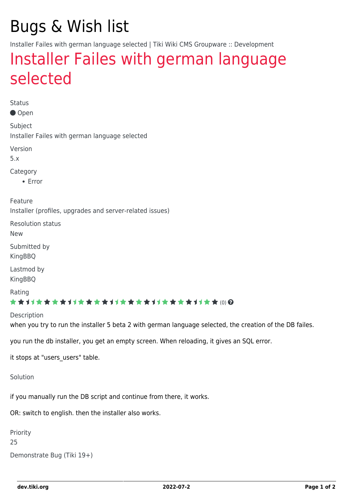# Bugs & Wish list

Installer Failes with german language selected | Tiki Wiki CMS Groupware :: Development

## [Installer Failes with german language](https://dev.tiki.org/item3174-Installer-Failes-with-german-language-selected) [selected](https://dev.tiki.org/item3174-Installer-Failes-with-german-language-selected)

Status

● Open

Subject Installer Failes with german language selected

Version

5.x

Category

• Error

Feature

Installer (profiles, upgrades and server-related issues)

Resolution status

New

Submitted by **KingBBO** 

Lastmod by KingBBQ

Rating

#### ★★11★★★★11★★★★11★★★★11★★★★11★★ @@

**Description** 

when you try to run the installer 5 beta 2 with german language selected, the creation of the DB failes.

you run the db installer, you get an empty screen. When reloading, it gives an SQL error.

it stops at "users users" table.

Solution

if you manually run the DB script and continue from there, it works.

OR: switch to english. then the installer also works.

```
Priority
25
Demonstrate Bug (Tiki 19+)
```